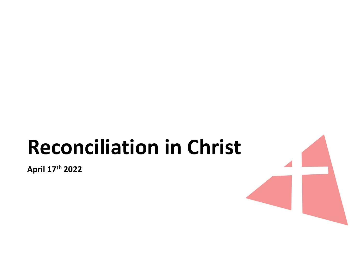# Reconciliation in Christ

April 17th 2022

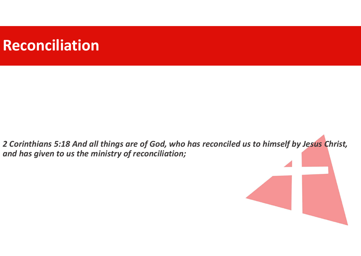# Reconciliation

2 Corinthians 5:18 And all things are of God, who has reconciled us to himself by Jesus Christ, and has given to us the ministry of reconciliation;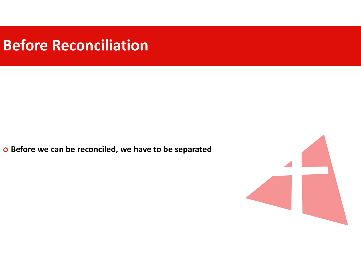### Before Reconciliation

o Before we can be reconciled, we have to be separated

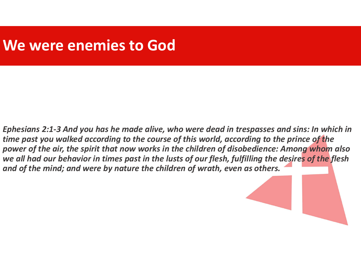### We were enemies to God

Ephesians 2:1-3 And you has he made alive, who were dead in trespasses and sins: In which in time past you walked according to the course of this world, according to the prince of the power of the air, the spirit that now works in the children of disobedience: Among whom also we all had our behavior in times past in the lusts of our flesh, fulfilling the desires of the flesh and of the mind; and were by nature the children of wrath, even as others.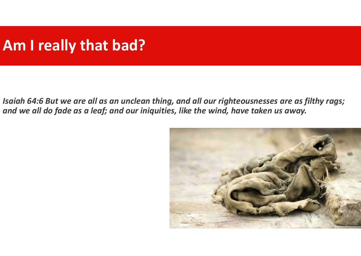# Am I really that bad?

Am I really that bad?<br>Isaiah 64:6 But we are all as an unclean thing, and all our righteousnesses are as filthy rags;<br>and we all do fade as a leaf; and our iniquities, like the wind, have taken us away. and we all do fade as a leaf; and our iniquities, like the wind, have taken us away.

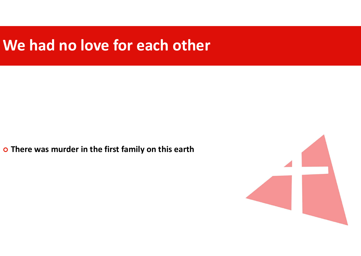## We had no love for each other

o There was murder in the first family on this earth

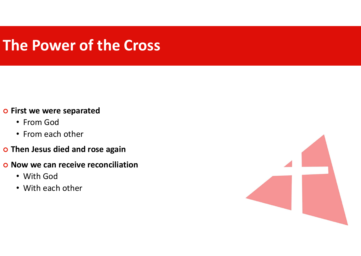# The Power of the Cross

#### o First we were separated

- From God
- From each other
- o Then Jesus died and rose again
- o Now we can receive reconciliation
	- With God
	- With each other

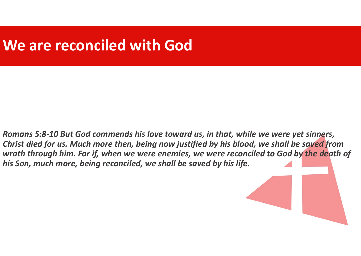## We are reconciled with God

Romans 5:8-10 But God commends his love toward us, in that, while we were yet sinners, Christ died for us. Much more then, being now justified by his blood, we shall be saved from wrath through him. For if, when we were enemies, we were reconciled to God by the death of his Son, much more, being reconciled, we shall be saved by his life.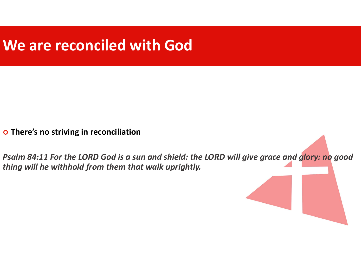# We are reconciled with God

o There's no striving in reconciliation

Psalm 84:11 For the LORD God is a sun and shield: the LORD will give grace and glory: no good thing will he withhold from them that walk uprightly.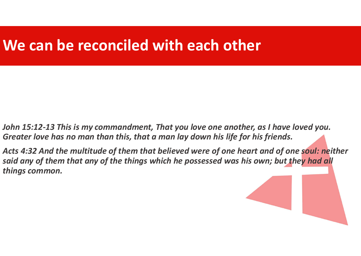## We can be reconciled with each other

John 15:12-13 This is my commandment, That you love one another, as I have loved you. Greater love has no man than this, that a man lay down his life for his friends.

Acts 4:32 And the multitude of them that believed were of one heart and of one soul: neither said any of them that any of the things which he possessed was his own; but they had all things common.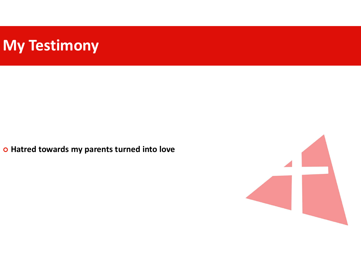# My Testimony

o Hatred towards my parents turned into love